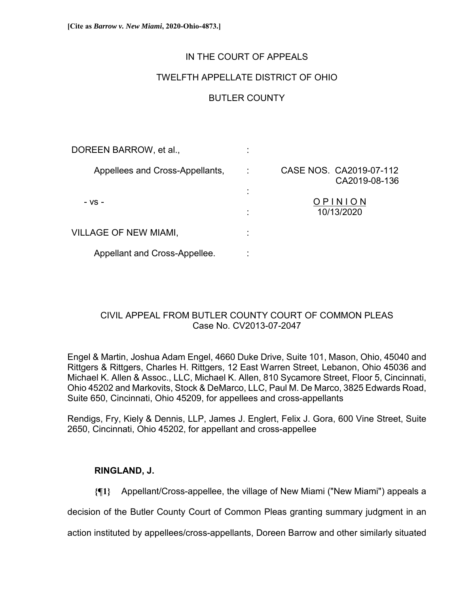## IN THE COURT OF APPEALS

## TWELFTH APPELLATE DISTRICT OF OHIO

# BUTLER COUNTY

| DOREEN BARROW, et al.,          |   |                                          |
|---------------------------------|---|------------------------------------------|
| Appellees and Cross-Appellants, |   | CASE NOS. CA2019-07-112<br>CA2019-08-136 |
| - VS -                          | ٠ | OPINION<br>10/13/2020                    |
| <b>VILLAGE OF NEW MIAMI,</b>    |   |                                          |
| Appellant and Cross-Appellee.   |   |                                          |

# CIVIL APPEAL FROM BUTLER COUNTY COURT OF COMMON PLEAS Case No. CV2013-07-2047

Engel & Martin, Joshua Adam Engel, 4660 Duke Drive, Suite 101, Mason, Ohio, 45040 and Rittgers & Rittgers, Charles H. Rittgers, 12 East Warren Street, Lebanon, Ohio 45036 and Michael K. Allen & Assoc., LLC, Michael K. Allen, 810 Sycamore Street, Floor 5, Cincinnati, Ohio 45202 and Markovits, Stock & DeMarco, LLC, Paul M. De Marco, 3825 Edwards Road, Suite 650, Cincinnati, Ohio 45209, for appellees and cross-appellants

Rendigs, Fry, Kiely & Dennis, LLP, James J. Englert, Felix J. Gora, 600 Vine Street, Suite 2650, Cincinnati, Ohio 45202, for appellant and cross-appellee

## **RINGLAND, J.**

**{¶1}** Appellant/Cross-appellee, the village of New Miami ("New Miami") appeals a

decision of the Butler County Court of Common Pleas granting summary judgment in an

action instituted by appellees/cross-appellants, Doreen Barrow and other similarly situated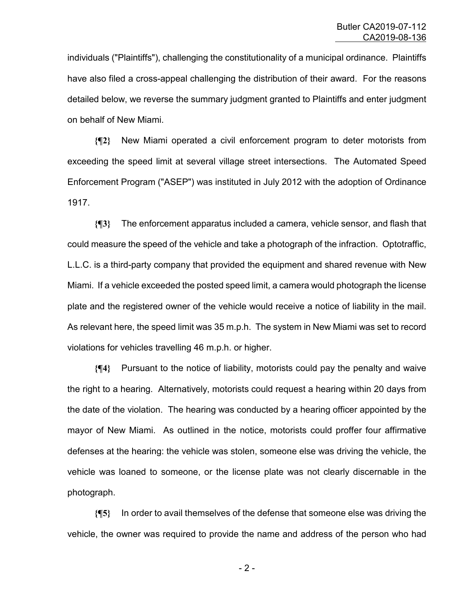individuals ("Plaintiffs"), challenging the constitutionality of a municipal ordinance. Plaintiffs have also filed a cross-appeal challenging the distribution of their award. For the reasons detailed below, we reverse the summary judgment granted to Plaintiffs and enter judgment on behalf of New Miami.

**{¶2}** New Miami operated a civil enforcement program to deter motorists from exceeding the speed limit at several village street intersections. The Automated Speed Enforcement Program ("ASEP") was instituted in July 2012 with the adoption of Ordinance 1917.

**{¶3}** The enforcement apparatus included a camera, vehicle sensor, and flash that could measure the speed of the vehicle and take a photograph of the infraction. Optotraffic, L.L.C. is a third-party company that provided the equipment and shared revenue with New Miami. If a vehicle exceeded the posted speed limit, a camera would photograph the license plate and the registered owner of the vehicle would receive a notice of liability in the mail. As relevant here, the speed limit was 35 m.p.h. The system in New Miami was set to record violations for vehicles travelling 46 m.p.h. or higher.

**{¶4}** Pursuant to the notice of liability, motorists could pay the penalty and waive the right to a hearing. Alternatively, motorists could request a hearing within 20 days from the date of the violation. The hearing was conducted by a hearing officer appointed by the mayor of New Miami. As outlined in the notice, motorists could proffer four affirmative defenses at the hearing: the vehicle was stolen, someone else was driving the vehicle, the vehicle was loaned to someone, or the license plate was not clearly discernable in the photograph.

**{¶5}** In order to avail themselves of the defense that someone else was driving the vehicle, the owner was required to provide the name and address of the person who had

- 2 -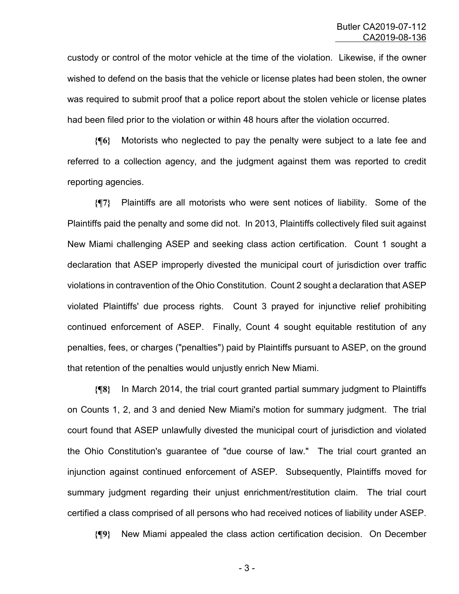custody or control of the motor vehicle at the time of the violation. Likewise, if the owner wished to defend on the basis that the vehicle or license plates had been stolen, the owner was required to submit proof that a police report about the stolen vehicle or license plates had been filed prior to the violation or within 48 hours after the violation occurred.

**{¶6}** Motorists who neglected to pay the penalty were subject to a late fee and referred to a collection agency, and the judgment against them was reported to credit reporting agencies.

**{¶7}** Plaintiffs are all motorists who were sent notices of liability. Some of the Plaintiffs paid the penalty and some did not. In 2013, Plaintiffs collectively filed suit against New Miami challenging ASEP and seeking class action certification. Count 1 sought a declaration that ASEP improperly divested the municipal court of jurisdiction over traffic violations in contravention of the Ohio Constitution. Count 2 sought a declaration that ASEP violated Plaintiffs' due process rights. Count 3 prayed for injunctive relief prohibiting continued enforcement of ASEP. Finally, Count 4 sought equitable restitution of any penalties, fees, or charges ("penalties") paid by Plaintiffs pursuant to ASEP, on the ground that retention of the penalties would unjustly enrich New Miami.

**{¶8}** In March 2014, the trial court granted partial summary judgment to Plaintiffs on Counts 1, 2, and 3 and denied New Miami's motion for summary judgment. The trial court found that ASEP unlawfully divested the municipal court of jurisdiction and violated the Ohio Constitution's guarantee of "due course of law." The trial court granted an injunction against continued enforcement of ASEP. Subsequently, Plaintiffs moved for summary judgment regarding their unjust enrichment/restitution claim. The trial court certified a class comprised of all persons who had received notices of liability under ASEP.

**{¶9}** New Miami appealed the class action certification decision. On December

- 3 -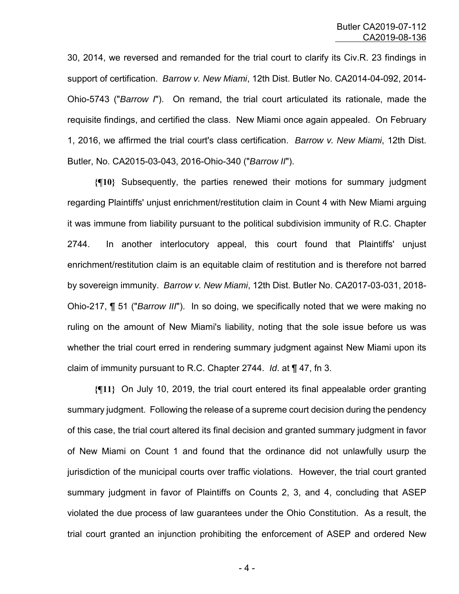30, 2014, we reversed and remanded for the trial court to clarify its Civ.R. 23 findings in support of certification. *Barrow v. New Miami*, 12th Dist. Butler No. CA2014-04-092, 2014- Ohio-5743 ("*Barrow I*"). On remand, the trial court articulated its rationale, made the requisite findings, and certified the class. New Miami once again appealed. On February 1, 2016, we affirmed the trial court's class certification. *Barrow v. New Miami*, 12th Dist. Butler, No. CA2015-03-043, 2016-Ohio-340 ("*Barrow II*").

**{¶10}** Subsequently, the parties renewed their motions for summary judgment regarding Plaintiffs' unjust enrichment/restitution claim in Count 4 with New Miami arguing it was immune from liability pursuant to the political subdivision immunity of R.C. Chapter 2744. In another interlocutory appeal, this court found that Plaintiffs' unjust enrichment/restitution claim is an equitable claim of restitution and is therefore not barred by sovereign immunity. *Barrow v. New Miami*, 12th Dist. Butler No. CA2017-03-031, 2018- Ohio-217, ¶ 51 ("*Barrow III*"). In so doing, we specifically noted that we were making no ruling on the amount of New Miami's liability, noting that the sole issue before us was whether the trial court erred in rendering summary judgment against New Miami upon its claim of immunity pursuant to R.C. Chapter 2744. *Id*. at ¶ 47, fn 3.

**{¶11}** On July 10, 2019, the trial court entered its final appealable order granting summary judgment. Following the release of a supreme court decision during the pendency of this case, the trial court altered its final decision and granted summary judgment in favor of New Miami on Count 1 and found that the ordinance did not unlawfully usurp the jurisdiction of the municipal courts over traffic violations. However, the trial court granted summary judgment in favor of Plaintiffs on Counts 2, 3, and 4, concluding that ASEP violated the due process of law guarantees under the Ohio Constitution. As a result, the trial court granted an injunction prohibiting the enforcement of ASEP and ordered New

- 4 -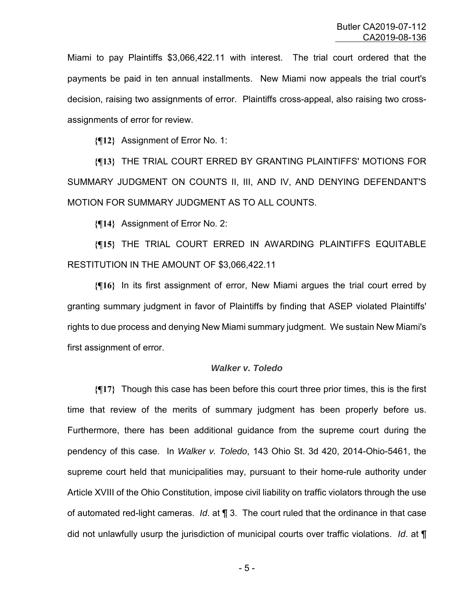Miami to pay Plaintiffs \$3,066,422.11 with interest. The trial court ordered that the payments be paid in ten annual installments. New Miami now appeals the trial court's decision, raising two assignments of error. Plaintiffs cross-appeal, also raising two crossassignments of error for review.

**{¶12}** Assignment of Error No. 1:

**{¶13}** THE TRIAL COURT ERRED BY GRANTING PLAINTIFFS' MOTIONS FOR SUMMARY JUDGMENT ON COUNTS II, III, AND IV, AND DENYING DEFENDANT'S MOTION FOR SUMMARY JUDGMENT AS TO ALL COUNTS.

**{¶14}** Assignment of Error No. 2:

**{¶15}** THE TRIAL COURT ERRED IN AWARDING PLAINTIFFS EQUITABLE RESTITUTION IN THE AMOUNT OF \$3,066,422.11

**{¶16}** In its first assignment of error, New Miami argues the trial court erred by granting summary judgment in favor of Plaintiffs by finding that ASEP violated Plaintiffs' rights to due process and denying New Miami summary judgment. We sustain New Miami's first assignment of error.

### *Walker v. Toledo*

**{¶17}** Though this case has been before this court three prior times, this is the first time that review of the merits of summary judgment has been properly before us. Furthermore, there has been additional guidance from the supreme court during the pendency of this case. In *Walker v. Toledo*, 143 Ohio St. 3d 420, 2014-Ohio-5461, the supreme court held that municipalities may, pursuant to their home-rule authority under Article XVIII of the Ohio Constitution, impose civil liability on traffic violators through the use of automated red-light cameras. *Id*. at ¶ 3. The court ruled that the ordinance in that case did not unlawfully usurp the jurisdiction of municipal courts over traffic violations. *Id*. at ¶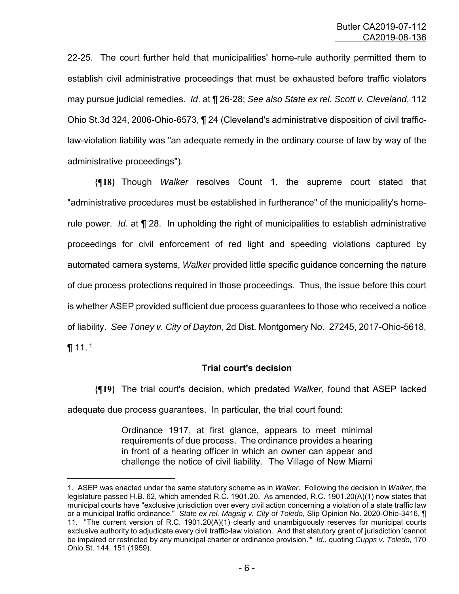22-25. The court further held that municipalities' home-rule authority permitted them to establish civil administrative proceedings that must be exhausted before traffic violators may pursue judicial remedies. *Id*. at ¶ 26-28; *See also State ex rel. Scott v. Cleveland*, 112 Ohio St.3d 324, 2006-Ohio-6573, ¶ 24 (Cleveland's administrative disposition of civil trafficlaw-violation liability was "an adequate remedy in the ordinary course of law by way of the administrative proceedings").

**{¶18}** Though *Walker* resolves Count 1, the supreme court stated that "administrative procedures must be established in furtherance" of the municipality's homerule power. *Id*. at ¶ 28. In upholding the right of municipalities to establish administrative proceedings for civil enforcement of red light and speeding violations captured by automated camera systems, *Walker* provided little specific guidance concerning the nature of due process protections required in those proceedings. Thus, the issue before this court is whether ASEP provided sufficient due process guarantees to those who received a notice of liability. *See Toney v. City of Dayton*, 2d Dist. Montgomery No. 27245, 2017-Ohio-5618,  $\P$  11.<sup>1</sup>

## **Trial court's decision**

**{¶19}** The trial court's decision, which predated *Walker*, found that ASEP lacked adequate due process guarantees. In particular, the trial court found:

> Ordinance 1917, at first glance, appears to meet minimal requirements of due process. The ordinance provides a hearing in front of a hearing officer in which an owner can appear and challenge the notice of civil liability. The Village of New Miami

—<br>—

<sup>1.</sup> ASEP was enacted under the same statutory scheme as in *Walker*. Following the decision in *Walker*, the legislature passed H.B. 62, which amended R.C. 1901.20. As amended, R.C. 1901.20(A)(1) now states that municipal courts have "exclusive jurisdiction over every civil action concerning a violation of a state traffic law or a municipal traffic ordinance." *State ex rel. Magsig v. City of Toledo*, Slip Opinion No. 2020-Ohio-3416, ¶ 11. "The current version of R.C. 1901.20(A)(1) clearly and unambiguously reserves for municipal courts exclusive authority to adjudicate every civil traffic-law violation. And that statutory grant of jurisdiction 'cannot be impaired or restricted by any municipal charter or ordinance provision.'" *Id*., quoting *Cupps v. Toledo*, 170 Ohio St. 144, 151 (1959).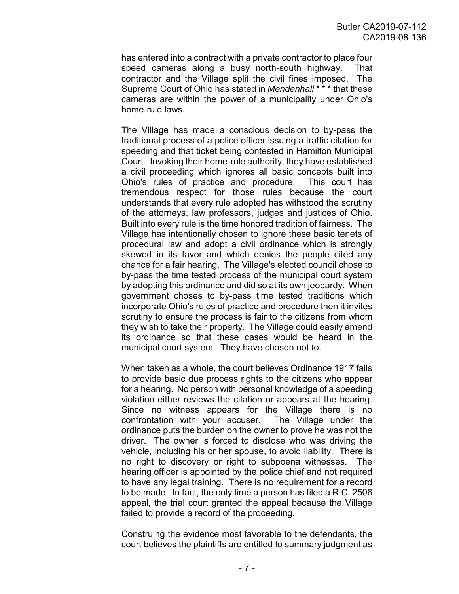has entered into a contract with a private contractor to place four speed cameras along a busy north-south highway. That contractor and the Village split the civil fines imposed. The Supreme Court of Ohio has stated in *Mendenhall* \* \* \* that these cameras are within the power of a municipality under Ohio's home-rule laws.

The Village has made a conscious decision to by-pass the traditional process of a police officer issuing a traffic citation for speeding and that ticket being contested in Hamilton Municipal Court. Invoking their home-rule authority, they have established a civil proceeding which ignores all basic concepts built into Ohio's rules of practice and procedure. This court has tremendous respect for those rules because the court understands that every rule adopted has withstood the scrutiny of the attorneys, law professors, judges and justices of Ohio. Built into every rule is the time honored tradition of fairness. The Village has intentionally chosen to ignore these basic tenets of procedural law and adopt a civil ordinance which is strongly skewed in its favor and which denies the people cited any chance for a fair hearing. The Village's elected council chose to by-pass the time tested process of the municipal court system by adopting this ordinance and did so at its own jeopardy. When government choses to by-pass time tested traditions which incorporate Ohio's rules of practice and procedure then it invites scrutiny to ensure the process is fair to the citizens from whom they wish to take their property. The Village could easily amend its ordinance so that these cases would be heard in the municipal court system. They have chosen not to.

When taken as a whole, the court believes Ordinance 1917 fails to provide basic due process rights to the citizens who appear for a hearing. No person with personal knowledge of a speeding violation either reviews the citation or appears at the hearing. Since no witness appears for the Village there is no confrontation with your accuser. The Village under the ordinance puts the burden on the owner to prove he was not the driver. The owner is forced to disclose who was driving the vehicle, including his or her spouse, to avoid liability. There is no right to discovery or right to subpoena witnesses. The hearing officer is appointed by the police chief and not required to have any legal training. There is no requirement for a record to be made. In fact, the only time a person has filed a R.C. 2506 appeal, the trial court granted the appeal because the Village failed to provide a record of the proceeding.

Construing the evidence most favorable to the defendants, the court believes the plaintiffs are entitled to summary judgment as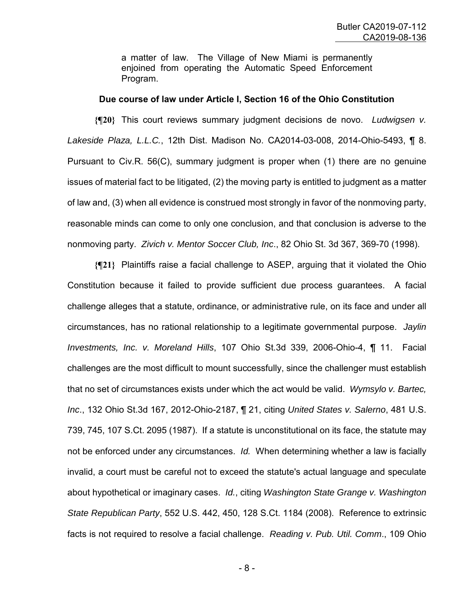a matter of law. The Village of New Miami is permanently enjoined from operating the Automatic Speed Enforcement Program.

#### **Due course of law under Article I, Section 16 of the Ohio Constitution**

**{¶20}** This court reviews summary judgment decisions de novo. *Ludwigsen v. Lakeside Plaza, L.L.C.*, 12th Dist. Madison No. CA2014-03-008, 2014-Ohio-5493, ¶ 8. Pursuant to Civ.R. 56(C), summary judgment is proper when (1) there are no genuine issues of material fact to be litigated, (2) the moving party is entitled to judgment as a matter of law and, (3) when all evidence is construed most strongly in favor of the nonmoving party, reasonable minds can come to only one conclusion, and that conclusion is adverse to the nonmoving party. *Zivich v. Mentor Soccer Club, Inc*., 82 Ohio St. 3d 367, 369-70 (1998).

**{¶21}** Plaintiffs raise a facial challenge to ASEP, arguing that it violated the Ohio Constitution because it failed to provide sufficient due process guarantees. A facial challenge alleges that a statute, ordinance, or administrative rule, on its face and under all circumstances, has no rational relationship to a legitimate governmental purpose. *Jaylin Investments, Inc. v. Moreland Hills*, 107 Ohio St.3d 339, 2006-Ohio-4, ¶ 11. Facial challenges are the most difficult to mount successfully, since the challenger must establish that no set of circumstances exists under which the act would be valid. *Wymsylo v. Bartec, Inc*., 132 Ohio St.3d 167, 2012-Ohio-2187, ¶ 21, citing *United States v. Salerno*, 481 U.S. 739, 745, 107 S.Ct. 2095 (1987). If a statute is unconstitutional on its face, the statute may not be enforced under any circumstances. *Id.* When determining whether a law is facially invalid, a court must be careful not to exceed the statute's actual language and speculate about hypothetical or imaginary cases. *Id.*, citing *Washington State Grange v. Washington State Republican Party*, 552 U.S. 442, 450, 128 S.Ct. 1184 (2008). Reference to extrinsic facts is not required to resolve a facial challenge. *Reading v. Pub. Util. Comm*., 109 Ohio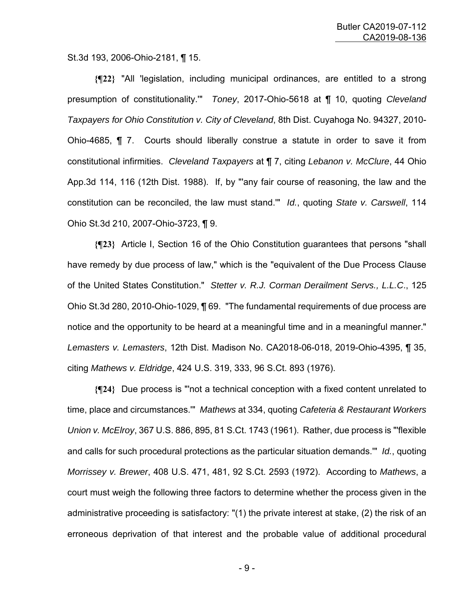St.3d 193, 2006-Ohio-2181, ¶ 15.

**{¶22}** "All 'legislation, including municipal ordinances, are entitled to a strong presumption of constitutionality.'" *Toney*, 2017-Ohio-5618 at ¶ 10, quoting *Cleveland Taxpayers for Ohio Constitution v. City of Cleveland*, 8th Dist. Cuyahoga No. 94327, 2010- Ohio-4685, ¶ 7. Courts should liberally construe a statute in order to save it from constitutional infirmities. *Cleveland Taxpayers* at ¶ 7, citing *Lebanon v. McClure*, 44 Ohio App.3d 114, 116 (12th Dist. 1988). If, by "'any fair course of reasoning, the law and the constitution can be reconciled, the law must stand.'" *Id.*, quoting *State v. Carswell*, 114 Ohio St.3d 210, 2007-Ohio-3723, ¶ 9.

**{¶23}** Article I, Section 16 of the Ohio Constitution guarantees that persons "shall have remedy by due process of law," which is the "equivalent of the Due Process Clause of the United States Constitution." *Stetter v. R.J. Corman Derailment Servs., L.L.C*., 125 Ohio St.3d 280, 2010-Ohio-1029, ¶ 69. "The fundamental requirements of due process are notice and the opportunity to be heard at a meaningful time and in a meaningful manner." *Lemasters v. Lemasters*, 12th Dist. Madison No. CA2018-06-018, 2019-Ohio-4395, ¶ 35, citing *Mathews v. Eldridge*, 424 U.S. 319, 333, 96 S.Ct. 893 (1976).

**{¶24}** Due process is "'not a technical conception with a fixed content unrelated to time, place and circumstances.'" *Mathews* at 334, quoting *Cafeteria & Restaurant Workers Union v. McElroy*, 367 U.S. 886, 895, 81 S.Ct. 1743 (1961). Rather, due process is "'flexible and calls for such procedural protections as the particular situation demands.'" *Id.*, quoting *Morrissey v. Brewer*, 408 U.S. 471, 481, 92 S.Ct. 2593 (1972). According to *Mathews*, a court must weigh the following three factors to determine whether the process given in the administrative proceeding is satisfactory: "(1) the private interest at stake, (2) the risk of an erroneous deprivation of that interest and the probable value of additional procedural

- 9 -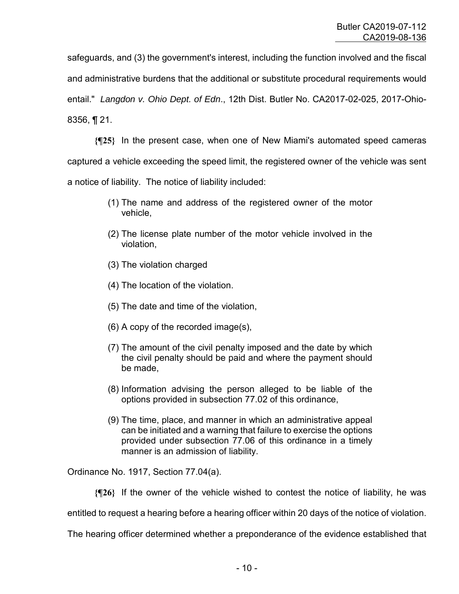safeguards, and (3) the government's interest, including the function involved and the fiscal and administrative burdens that the additional or substitute procedural requirements would entail." *Langdon v. Ohio Dept. of Edn*., 12th Dist. Butler No. CA2017-02-025, 2017-Ohio-8356, ¶ 21.

**{¶25}** In the present case, when one of New Miami's automated speed cameras captured a vehicle exceeding the speed limit, the registered owner of the vehicle was sent a notice of liability. The notice of liability included:

- (1) The name and address of the registered owner of the motor vehicle,
- (2) The license plate number of the motor vehicle involved in the violation,
- (3) The violation charged
- (4) The location of the violation.
- (5) The date and time of the violation,
- (6) A copy of the recorded image(s),
- (7) The amount of the civil penalty imposed and the date by which the civil penalty should be paid and where the payment should be made,
- (8) Information advising the person alleged to be liable of the options provided in subsection 77.02 of this ordinance,
- (9) The time, place, and manner in which an administrative appeal can be initiated and a warning that failure to exercise the options provided under subsection 77.06 of this ordinance in a timely manner is an admission of liability.

Ordinance No. 1917, Section 77.04(a).

**{¶26}** If the owner of the vehicle wished to contest the notice of liability, he was

entitled to request a hearing before a hearing officer within 20 days of the notice of violation.

The hearing officer determined whether a preponderance of the evidence established that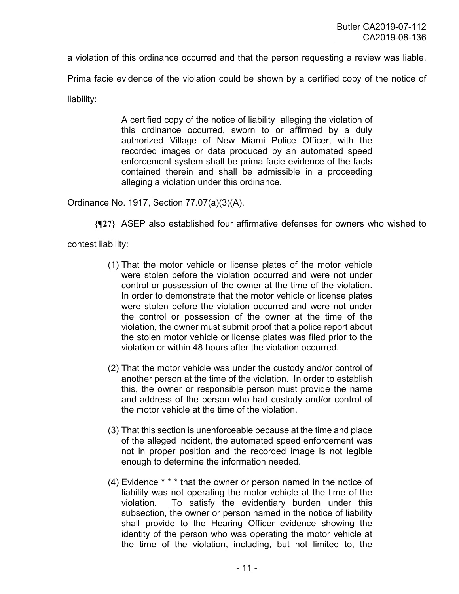a violation of this ordinance occurred and that the person requesting a review was liable.

Prima facie evidence of the violation could be shown by a certified copy of the notice of

liability:

A certified copy of the notice of liability alleging the violation of this ordinance occurred, sworn to or affirmed by a duly authorized Village of New Miami Police Officer, with the recorded images or data produced by an automated speed enforcement system shall be prima facie evidence of the facts contained therein and shall be admissible in a proceeding alleging a violation under this ordinance.

Ordinance No. 1917, Section 77.07(a)(3)(A).

**{¶27}** ASEP also established four affirmative defenses for owners who wished to

contest liability:

- (1) That the motor vehicle or license plates of the motor vehicle were stolen before the violation occurred and were not under control or possession of the owner at the time of the violation. In order to demonstrate that the motor vehicle or license plates were stolen before the violation occurred and were not under the control or possession of the owner at the time of the violation, the owner must submit proof that a police report about the stolen motor vehicle or license plates was filed prior to the violation or within 48 hours after the violation occurred.
- (2) That the motor vehicle was under the custody and/or control of another person at the time of the violation. In order to establish this, the owner or responsible person must provide the name and address of the person who had custody and/or control of the motor vehicle at the time of the violation.
- (3) That this section is unenforceable because at the time and place of the alleged incident, the automated speed enforcement was not in proper position and the recorded image is not legible enough to determine the information needed.
- (4) Evidence \* \* \* that the owner or person named in the notice of liability was not operating the motor vehicle at the time of the violation. To satisfy the evidentiary burden under this subsection, the owner or person named in the notice of liability shall provide to the Hearing Officer evidence showing the identity of the person who was operating the motor vehicle at the time of the violation, including, but not limited to, the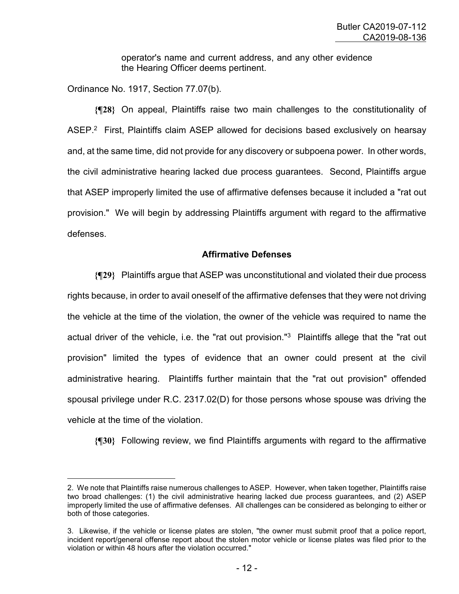operator's name and current address, and any other evidence the Hearing Officer deems pertinent.

Ordinance No. 1917, Section 77.07(b).

—<br>—

**{¶28}** On appeal, Plaintiffs raise two main challenges to the constitutionality of ASEP.<sup>2</sup> First, Plaintiffs claim ASEP allowed for decisions based exclusively on hearsay and, at the same time, did not provide for any discovery or subpoena power. In other words, the civil administrative hearing lacked due process guarantees. Second, Plaintiffs argue that ASEP improperly limited the use of affirmative defenses because it included a "rat out provision." We will begin by addressing Plaintiffs argument with regard to the affirmative defenses.

### **Affirmative Defenses**

**{¶29}** Plaintiffs argue that ASEP was unconstitutional and violated their due process rights because, in order to avail oneself of the affirmative defenses that they were not driving the vehicle at the time of the violation, the owner of the vehicle was required to name the actual driver of the vehicle, i.e. the "rat out provision."<sup>3</sup> Plaintiffs allege that the "rat out provision" limited the types of evidence that an owner could present at the civil administrative hearing. Plaintiffs further maintain that the "rat out provision" offended spousal privilege under R.C. 2317.02(D) for those persons whose spouse was driving the vehicle at the time of the violation.

**{¶30}** Following review, we find Plaintiffs arguments with regard to the affirmative

<sup>2.</sup> We note that Plaintiffs raise numerous challenges to ASEP. However, when taken together, Plaintiffs raise two broad challenges: (1) the civil administrative hearing lacked due process guarantees, and (2) ASEP improperly limited the use of affirmative defenses. All challenges can be considered as belonging to either or both of those categories.

<sup>3.</sup> Likewise, if the vehicle or license plates are stolen, "the owner must submit proof that a police report, incident report/general offense report about the stolen motor vehicle or license plates was filed prior to the violation or within 48 hours after the violation occurred."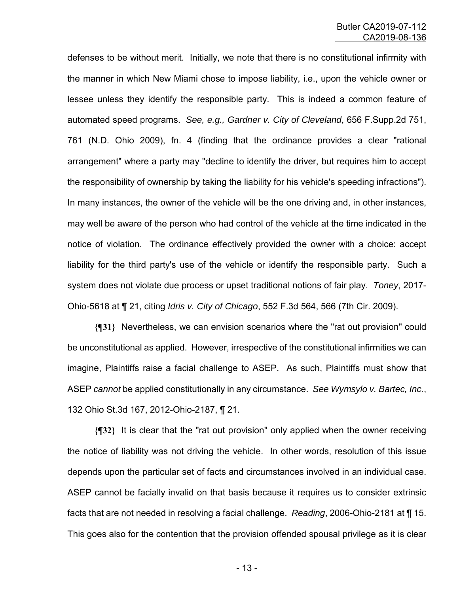defenses to be without merit. Initially, we note that there is no constitutional infirmity with the manner in which New Miami chose to impose liability, i.e., upon the vehicle owner or lessee unless they identify the responsible party. This is indeed a common feature of automated speed programs. *See, e.g., Gardner v. City of Cleveland*, 656 F.Supp.2d 751, 761 (N.D. Ohio 2009), fn. 4 (finding that the ordinance provides a clear "rational arrangement" where a party may "decline to identify the driver, but requires him to accept the responsibility of ownership by taking the liability for his vehicle's speeding infractions"). In many instances, the owner of the vehicle will be the one driving and, in other instances, may well be aware of the person who had control of the vehicle at the time indicated in the notice of violation. The ordinance effectively provided the owner with a choice: accept liability for the third party's use of the vehicle or identify the responsible party. Such a system does not violate due process or upset traditional notions of fair play. *Toney*, 2017- Ohio-5618 at ¶ 21, citing *Idris v. City of Chicago*, 552 F.3d 564, 566 (7th Cir. 2009).

**{¶31}** Nevertheless, we can envision scenarios where the "rat out provision" could be unconstitutional as applied. However, irrespective of the constitutional infirmities we can imagine, Plaintiffs raise a facial challenge to ASEP. As such, Plaintiffs must show that ASEP *cannot* be applied constitutionally in any circumstance. *See Wymsylo v. Bartec, Inc.*, 132 Ohio St.3d 167, 2012-Ohio-2187, ¶ 21.

**{¶32}** It is clear that the "rat out provision" only applied when the owner receiving the notice of liability was not driving the vehicle. In other words, resolution of this issue depends upon the particular set of facts and circumstances involved in an individual case. ASEP cannot be facially invalid on that basis because it requires us to consider extrinsic facts that are not needed in resolving a facial challenge. *Reading*, 2006-Ohio-2181 at ¶ 15. This goes also for the contention that the provision offended spousal privilege as it is clear

- 13 -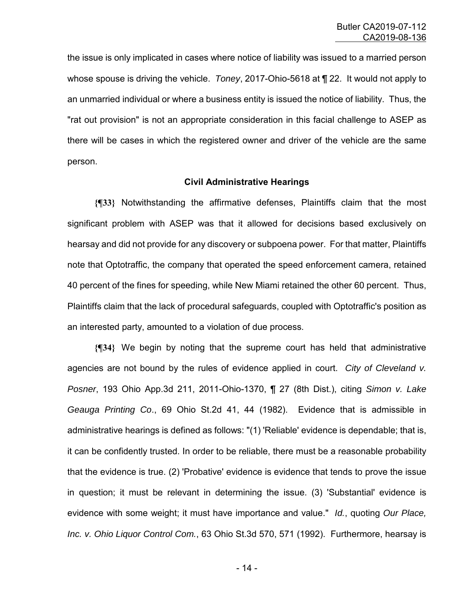the issue is only implicated in cases where notice of liability was issued to a married person whose spouse is driving the vehicle. *Toney*, 2017-Ohio-5618 at ¶ 22. It would not apply to an unmarried individual or where a business entity is issued the notice of liability. Thus, the "rat out provision" is not an appropriate consideration in this facial challenge to ASEP as there will be cases in which the registered owner and driver of the vehicle are the same person.

#### **Civil Administrative Hearings**

**{¶33}** Notwithstanding the affirmative defenses, Plaintiffs claim that the most significant problem with ASEP was that it allowed for decisions based exclusively on hearsay and did not provide for any discovery or subpoena power. For that matter, Plaintiffs note that Optotraffic, the company that operated the speed enforcement camera, retained 40 percent of the fines for speeding, while New Miami retained the other 60 percent. Thus, Plaintiffs claim that the lack of procedural safeguards, coupled with Optotraffic's position as an interested party, amounted to a violation of due process.

**{¶34}** We begin by noting that the supreme court has held that administrative agencies are not bound by the rules of evidence applied in court. *City of Cleveland v. Posner*, 193 Ohio App.3d 211, 2011-Ohio-1370, ¶ 27 (8th Dist.), citing *Simon v. Lake Geauga Printing Co*., 69 Ohio St.2d 41, 44 (1982). Evidence that is admissible in administrative hearings is defined as follows: "(1) 'Reliable' evidence is dependable; that is, it can be confidently trusted. In order to be reliable, there must be a reasonable probability that the evidence is true. (2) 'Probative' evidence is evidence that tends to prove the issue in question; it must be relevant in determining the issue. (3) 'Substantial' evidence is evidence with some weight; it must have importance and value." *Id.*, quoting *Our Place, Inc. v. Ohio Liquor Control Com.*, 63 Ohio St.3d 570, 571 (1992). Furthermore, hearsay is

- 14 -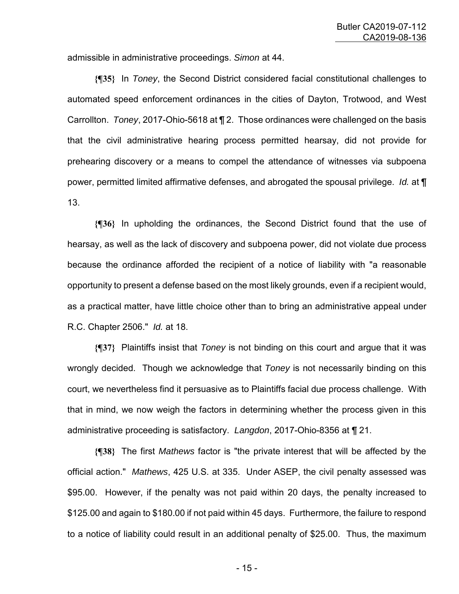admissible in administrative proceedings. *Simon* at 44.

**{¶35}** In *Toney*, the Second District considered facial constitutional challenges to automated speed enforcement ordinances in the cities of Dayton, Trotwood, and West Carrollton. *Toney*, 2017-Ohio-5618 at ¶ 2. Those ordinances were challenged on the basis that the civil administrative hearing process permitted hearsay, did not provide for prehearing discovery or a means to compel the attendance of witnesses via subpoena power, permitted limited affirmative defenses, and abrogated the spousal privilege. *Id.* at ¶ 13.

**{¶36}** In upholding the ordinances, the Second District found that the use of hearsay, as well as the lack of discovery and subpoena power, did not violate due process because the ordinance afforded the recipient of a notice of liability with "a reasonable opportunity to present a defense based on the most likely grounds, even if a recipient would, as a practical matter, have little choice other than to bring an administrative appeal under R.C. Chapter 2506." *Id.* at 18.

**{¶37}** Plaintiffs insist that *Toney* is not binding on this court and argue that it was wrongly decided. Though we acknowledge that *Toney* is not necessarily binding on this court, we nevertheless find it persuasive as to Plaintiffs facial due process challenge. With that in mind, we now weigh the factors in determining whether the process given in this administrative proceeding is satisfactory. *Langdon*, 2017-Ohio-8356 at ¶ 21.

**{¶38}** The first *Mathews* factor is "the private interest that will be affected by the official action." *Mathews*, 425 U.S. at 335. Under ASEP, the civil penalty assessed was \$95.00. However, if the penalty was not paid within 20 days, the penalty increased to \$125.00 and again to \$180.00 if not paid within 45 days. Furthermore, the failure to respond to a notice of liability could result in an additional penalty of \$25.00. Thus, the maximum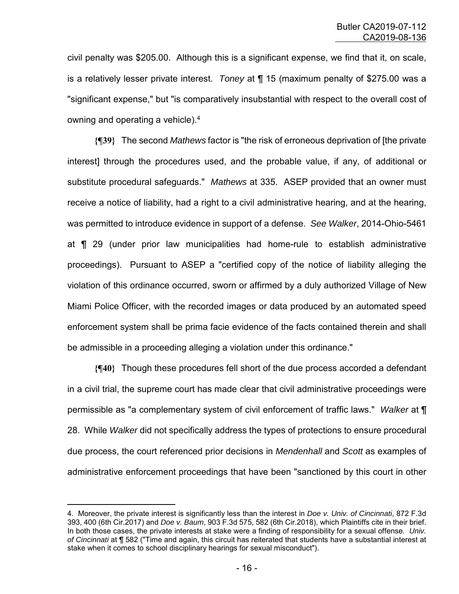civil penalty was \$205.00. Although this is a significant expense, we find that it, on scale, is a relatively lesser private interest. *Toney* at ¶ 15 (maximum penalty of \$275.00 was a "significant expense," but "is comparatively insubstantial with respect to the overall cost of owning and operating a vehicle).<sup>4</sup>

**{¶39}** The second *Mathews* factor is "the risk of erroneous deprivation of [the private interest] through the procedures used, and the probable value, if any, of additional or substitute procedural safeguards." *Mathews* at 335. ASEP provided that an owner must receive a notice of liability, had a right to a civil administrative hearing, and at the hearing, was permitted to introduce evidence in support of a defense. *See Walker*, 2014-Ohio-5461 at ¶ 29 (under prior law municipalities had home-rule to establish administrative proceedings). Pursuant to ASEP a "certified copy of the notice of liability alleging the violation of this ordinance occurred, sworn or affirmed by a duly authorized Village of New Miami Police Officer, with the recorded images or data produced by an automated speed enforcement system shall be prima facie evidence of the facts contained therein and shall be admissible in a proceeding alleging a violation under this ordinance."

**{¶40}** Though these procedures fell short of the due process accorded a defendant in a civil trial, the supreme court has made clear that civil administrative proceedings were permissible as "a complementary system of civil enforcement of traffic laws." *Walker* at ¶ 28. While *Walker* did not specifically address the types of protections to ensure procedural due process, the court referenced prior decisions in *Mendenhall* and *Scott* as examples of administrative enforcement proceedings that have been "sanctioned by this court in other

—<br>—

<sup>4.</sup> Moreover, the private interest is significantly less than the interest in *Doe v. Univ. of Cincinnati*, 872 F.3d 393, 400 (6th Cir.2017) and *Doe v. Baum*, 903 F.3d 575, 582 (6th Cir.2018), which Plaintiffs cite in their brief. In both those cases, the private interests at stake were a finding of responsibility for a sexual offense. *Univ. of Cincinnati* at ¶ 582 ("Time and again, this circuit has reiterated that students have a substantial interest at stake when it comes to school disciplinary hearings for sexual misconduct").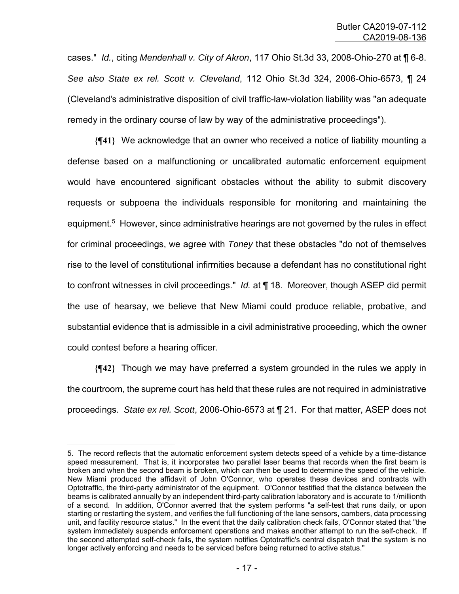cases." *Id.*, citing *Mendenhall v. City of Akron*, 117 Ohio St.3d 33, 2008-Ohio-270 at ¶ 6-8. *See also State ex rel. Scott v. Cleveland*, 112 Ohio St.3d 324, 2006-Ohio-6573, ¶ 24 (Cleveland's administrative disposition of civil traffic-law-violation liability was "an adequate remedy in the ordinary course of law by way of the administrative proceedings").

**{¶41}** We acknowledge that an owner who received a notice of liability mounting a defense based on a malfunctioning or uncalibrated automatic enforcement equipment would have encountered significant obstacles without the ability to submit discovery requests or subpoena the individuals responsible for monitoring and maintaining the equipment.<sup>5</sup> However, since administrative hearings are not governed by the rules in effect for criminal proceedings, we agree with *Toney* that these obstacles "do not of themselves rise to the level of constitutional infirmities because a defendant has no constitutional right to confront witnesses in civil proceedings." *Id.* at ¶ 18. Moreover, though ASEP did permit the use of hearsay, we believe that New Miami could produce reliable, probative, and substantial evidence that is admissible in a civil administrative proceeding, which the owner could contest before a hearing officer.

**{¶42}** Though we may have preferred a system grounded in the rules we apply in the courtroom, the supreme court has held that these rules are not required in administrative proceedings. *State ex rel. Scott*, 2006-Ohio-6573 at ¶ 21. For that matter, ASEP does not

÷.

<sup>5.</sup> The record reflects that the automatic enforcement system detects speed of a vehicle by a time-distance speed measurement. That is, it incorporates two parallel laser beams that records when the first beam is broken and when the second beam is broken, which can then be used to determine the speed of the vehicle. New Miami produced the affidavit of John O'Connor, who operates these devices and contracts with Optotraffic, the third-party administrator of the equipment. O'Connor testified that the distance between the beams is calibrated annually by an independent third-party calibration laboratory and is accurate to 1/millionth of a second. In addition, O'Connor averred that the system performs "a self-test that runs daily, or upon starting or restarting the system, and verifies the full functioning of the lane sensors, cambers, data processing unit, and facility resource status." In the event that the daily calibration check fails, O'Connor stated that "the system immediately suspends enforcement operations and makes another attempt to run the self-check. If the second attempted self-check fails, the system notifies Optotraffic's central dispatch that the system is no longer actively enforcing and needs to be serviced before being returned to active status."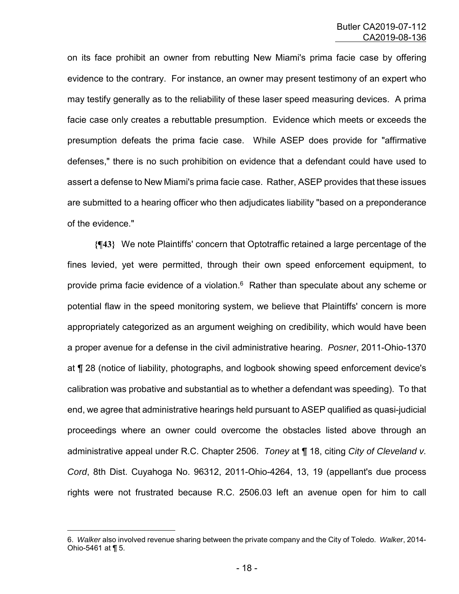on its face prohibit an owner from rebutting New Miami's prima facie case by offering evidence to the contrary. For instance, an owner may present testimony of an expert who may testify generally as to the reliability of these laser speed measuring devices. A prima facie case only creates a rebuttable presumption. Evidence which meets or exceeds the presumption defeats the prima facie case. While ASEP does provide for "affirmative defenses," there is no such prohibition on evidence that a defendant could have used to assert a defense to New Miami's prima facie case. Rather, ASEP provides that these issues are submitted to a hearing officer who then adjudicates liability "based on a preponderance of the evidence."

**{¶43}** We note Plaintiffs' concern that Optotraffic retained a large percentage of the fines levied, yet were permitted, through their own speed enforcement equipment, to provide prima facie evidence of a violation. $6$  Rather than speculate about any scheme or potential flaw in the speed monitoring system, we believe that Plaintiffs' concern is more appropriately categorized as an argument weighing on credibility, which would have been a proper avenue for a defense in the civil administrative hearing. *Posner*, 2011-Ohio-1370 at ¶ 28 (notice of liability, photographs, and logbook showing speed enforcement device's calibration was probative and substantial as to whether a defendant was speeding). To that end, we agree that administrative hearings held pursuant to ASEP qualified as quasi-judicial proceedings where an owner could overcome the obstacles listed above through an administrative appeal under R.C. Chapter 2506. *Toney* at ¶ 18, citing *City of Cleveland v. Cord*, 8th Dist. Cuyahoga No. 96312, 2011-Ohio-4264, 13, 19 (appellant's due process rights were not frustrated because R.C. 2506.03 left an avenue open for him to call

—<br>—

<sup>6.</sup> *Walker* also involved revenue sharing between the private company and the City of Toledo. *Walker*, 2014- Ohio-5461 at ¶ 5.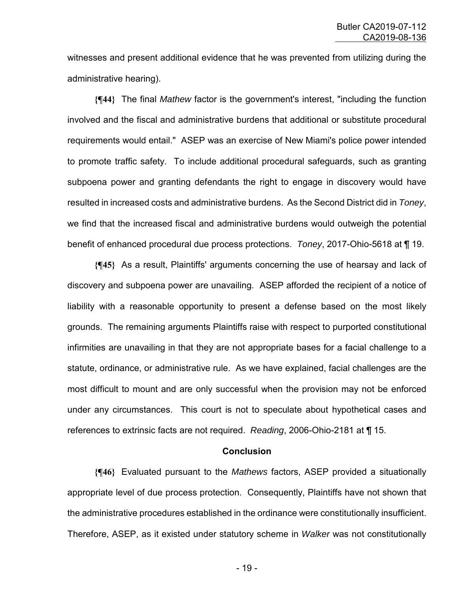witnesses and present additional evidence that he was prevented from utilizing during the administrative hearing).

**{¶44}** The final *Mathew* factor is the government's interest, "including the function involved and the fiscal and administrative burdens that additional or substitute procedural requirements would entail." ASEP was an exercise of New Miami's police power intended to promote traffic safety. To include additional procedural safeguards, such as granting subpoena power and granting defendants the right to engage in discovery would have resulted in increased costs and administrative burdens. As the Second District did in *Toney*, we find that the increased fiscal and administrative burdens would outweigh the potential benefit of enhanced procedural due process protections. *Toney*, 2017-Ohio-5618 at ¶ 19.

**{¶45}** As a result, Plaintiffs' arguments concerning the use of hearsay and lack of discovery and subpoena power are unavailing. ASEP afforded the recipient of a notice of liability with a reasonable opportunity to present a defense based on the most likely grounds. The remaining arguments Plaintiffs raise with respect to purported constitutional infirmities are unavailing in that they are not appropriate bases for a facial challenge to a statute, ordinance, or administrative rule. As we have explained, facial challenges are the most difficult to mount and are only successful when the provision may not be enforced under any circumstances. This court is not to speculate about hypothetical cases and references to extrinsic facts are not required. *Reading*, 2006-Ohio-2181 at ¶ 15.

#### **Conclusion**

**{¶46}** Evaluated pursuant to the *Mathews* factors, ASEP provided a situationally appropriate level of due process protection. Consequently, Plaintiffs have not shown that the administrative procedures established in the ordinance were constitutionally insufficient. Therefore, ASEP, as it existed under statutory scheme in *Walker* was not constitutionally

- 19 -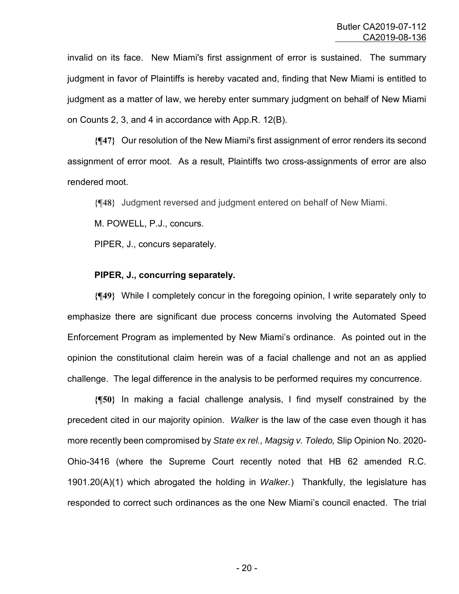invalid on its face. New Miami's first assignment of error is sustained. The summary judgment in favor of Plaintiffs is hereby vacated and, finding that New Miami is entitled to judgment as a matter of law, we hereby enter summary judgment on behalf of New Miami on Counts 2, 3, and 4 in accordance with App.R. 12(B).

**{¶47}** Our resolution of the New Miami's first assignment of error renders its second assignment of error moot. As a result, Plaintiffs two cross-assignments of error are also rendered moot.

**{¶48}** Judgment reversed and judgment entered on behalf of New Miami.

M. POWELL, P.J., concurs.

PIPER, J., concurs separately.

## **PIPER, J., concurring separately.**

**{¶49}** While I completely concur in the foregoing opinion, I write separately only to emphasize there are significant due process concerns involving the Automated Speed Enforcement Program as implemented by New Miami's ordinance. As pointed out in the opinion the constitutional claim herein was of a facial challenge and not an as applied challenge. The legal difference in the analysis to be performed requires my concurrence.

**{¶50}** In making a facial challenge analysis, I find myself constrained by the precedent cited in our majority opinion. *Walker* is the law of the case even though it has more recently been compromised by *State ex rel., Magsig v. Toledo,* Slip Opinion No. 2020- Ohio-3416 (where the Supreme Court recently noted that HB 62 amended R.C. 1901.20(A)(1) which abrogated the holding in *Walker.*) Thankfully, the legislature has responded to correct such ordinances as the one New Miami's council enacted. The trial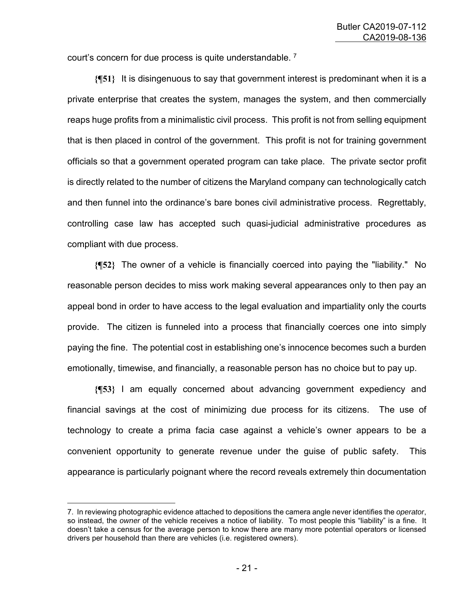court's concern for due process is quite understandable.<sup>7</sup>

**{¶51}** It is disingenuous to say that government interest is predominant when it is a private enterprise that creates the system, manages the system, and then commercially reaps huge profits from a minimalistic civil process. This profit is not from selling equipment that is then placed in control of the government. This profit is not for training government officials so that a government operated program can take place. The private sector profit is directly related to the number of citizens the Maryland company can technologically catch and then funnel into the ordinance's bare bones civil administrative process. Regrettably, controlling case law has accepted such quasi-judicial administrative procedures as compliant with due process.

**{¶52}** The owner of a vehicle is financially coerced into paying the "liability." No reasonable person decides to miss work making several appearances only to then pay an appeal bond in order to have access to the legal evaluation and impartiality only the courts provide. The citizen is funneled into a process that financially coerces one into simply paying the fine. The potential cost in establishing one's innocence becomes such a burden emotionally, timewise, and financially, a reasonable person has no choice but to pay up.

**{¶53}** I am equally concerned about advancing government expediency and financial savings at the cost of minimizing due process for its citizens. The use of technology to create a prima facia case against a vehicle's owner appears to be a convenient opportunity to generate revenue under the guise of public safety. This appearance is particularly poignant where the record reveals extremely thin documentation

÷,

<sup>7.</sup> In reviewing photographic evidence attached to depositions the camera angle never identifies the *operator*, so instead, the *owner* of the vehicle receives a notice of liability. To most people this "liability" is a fine. It doesn't take a census for the average person to know there are many more potential operators or licensed drivers per household than there are vehicles (i.e. registered owners).